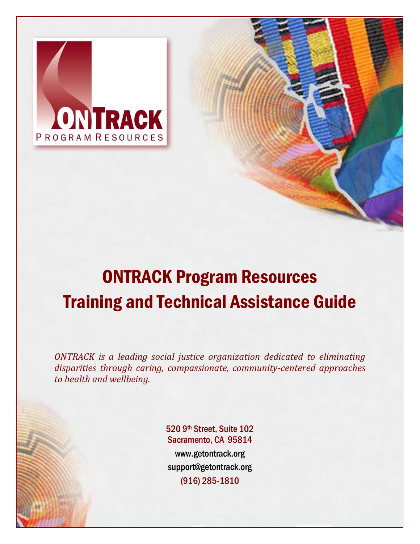

# ONTRACK Program Resources Training and Technical Assistance Guide

*ONTRACK is a leading social justice organization dedicated to eliminating disparities through caring, compassionate, community-centered approaches to health and wellbeing.*

> 520 9th Street, Suite 102 Sacramento, CA 95814 www.getontrack.org support@getontrack.org (916) 285-1810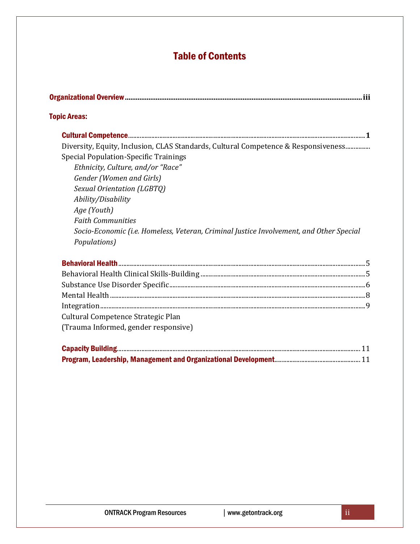# Table of Contents

| <b>Topic Areas:</b>                                                                                                                                                                                    |  |
|--------------------------------------------------------------------------------------------------------------------------------------------------------------------------------------------------------|--|
| Diversity, Equity, Inclusion, CLAS Standards, Cultural Competence & Responsiveness<br><b>Special Population-Specific Trainings</b><br>Ethnicity, Culture, and/or "Race"<br>Gender (Women and Girls)    |  |
| Sexual Orientation (LGBTQ)<br>Ability/Disability<br>Age (Youth)<br><b>Faith Communities</b><br>Socio-Economic (i.e. Homeless, Veteran, Criminal Justice Involvement, and Other Special<br>Populations) |  |
|                                                                                                                                                                                                        |  |
|                                                                                                                                                                                                        |  |
|                                                                                                                                                                                                        |  |
|                                                                                                                                                                                                        |  |
|                                                                                                                                                                                                        |  |
| Cultural Competence Strategic Plan                                                                                                                                                                     |  |
| (Trauma Informed, gender responsive)                                                                                                                                                                   |  |
|                                                                                                                                                                                                        |  |
|                                                                                                                                                                                                        |  |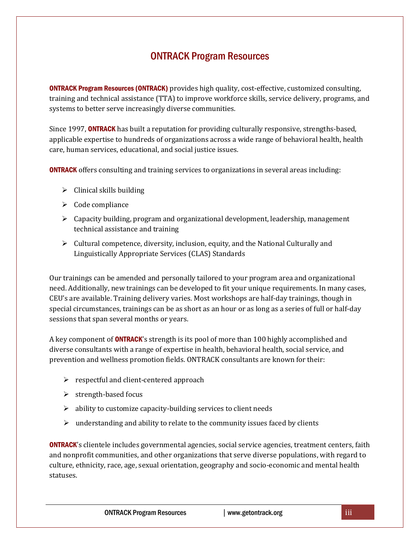## ONTRACK Program Resources

ONTRACK Program Resources (ONTRACK) provides high quality, cost-effective, customized consulting, training and technical assistance (TTA) to improve workforce skills, service delivery, programs, and systems to better serve increasingly diverse communities.

Since 1997, **ONTRACK** has built a reputation for providing culturally responsive, strengths-based, applicable expertise to hundreds of organizations across a wide range of behavioral health, health care, human services, educational, and social justice issues.

**ONTRACK** offers consulting and training services to organizations in several areas including:

- $\triangleright$  Clinical skills building
- ➢ Code compliance
- $\triangleright$  Capacity building, program and organizational development, leadership, management technical assistance and training
- $\triangleright$  Cultural competence, diversity, inclusion, equity, and the National Culturally and Linguistically Appropriate Services (CLAS) Standards

Our trainings can be amended and personally tailored to your program area and organizational need. Additionally, new trainings can be developed to fit your unique requirements. In many cases, CEU's are available. Training delivery varies. Most workshops are half-day trainings, though in special circumstances, trainings can be as short as an hour or as long as a series of full or half-day sessions that span several months or years.

A key component of **ONTRACK'**s strength is its pool of more than 100 highly accomplished and diverse consultants with a range of expertise in health, behavioral health, social service, and prevention and wellness promotion fields. ONTRACK consultants are known for their:

- $\triangleright$  respectful and client-centered approach
- $\triangleright$  strength-based focus
- $\triangleright$  ability to customize capacity-building services to client needs
- $\triangleright$  understanding and ability to relate to the community issues faced by clients

**ONTRACK's** clientele includes governmental agencies, social service agencies, treatment centers, faith and nonprofit communities, and other organizations that serve diverse populations, with regard to culture, ethnicity, race, age, sexual orientation, geography and socio-economic and mental health statuses.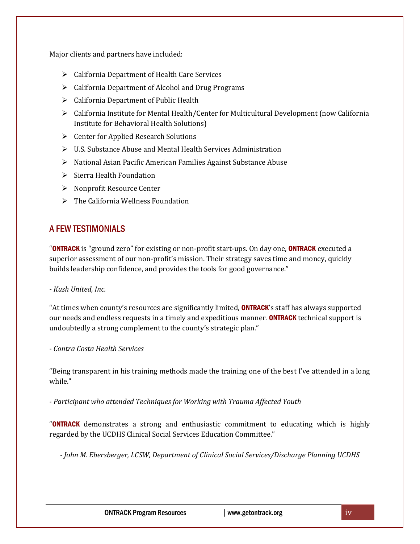Major clients and partners have included:

- ➢ California Department of Health Care Services
- ➢ California Department of Alcohol and Drug Programs
- ➢ California Department of Public Health
- ➢ California Institute for Mental Health/Center for Multicultural Development (now California Institute for Behavioral Health Solutions)
- ➢ Center for Applied Research Solutions
- ➢ U.S. Substance Abuse and Mental Health Services Administration
- ➢ National Asian Pacific American Families Against Substance Abuse
- ➢ Sierra Health Foundation
- ➢ Nonprofit Resource Center
- $\triangleright$  The California Wellness Foundation

## A FEW TESTIMONIALS

"**ONTRACK** is "ground zero" for existing or non-profit start-ups. On day one, **ONTRACK** executed a superior assessment of our non-profit's mission. Their strategy saves time and money, quickly builds leadership confidence, and provides the tools for good governance."

#### *- Kush United, Inc.*

"At times when county's resources are significantly limited, **ONTRACK'**s staff has always supported our needs and endless requests in a timely and expeditious manner. **ONTRACK** technical support is undoubtedly a strong complement to the county's strategic plan."

#### *- Contra Costa Health Services*

"Being transparent in his training methods made the training one of the best I've attended in a long while."

*- Participant who attended Techniques for Working with Trauma Affected Youth*

"**ONTRACK** demonstrates a strong and enthusiastic commitment to educating which is highly regarded by the UCDHS Clinical Social Services Education Committee."

*- John M. Ebersberger, LCSW, Department of Clinical Social Services/Discharge Planning UCDHS*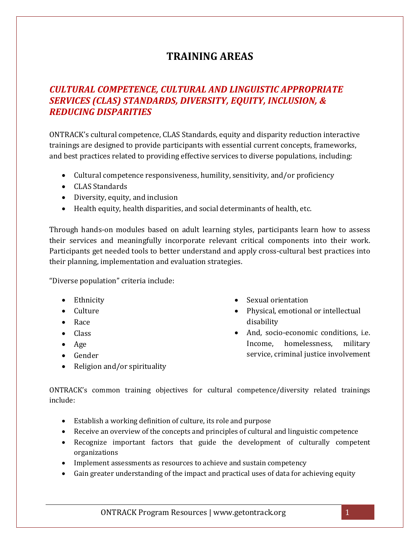## **TRAINING AREAS**

## *CULTURAL COMPETENCE, CULTURAL AND LINGUISTIC APPROPRIATE SERVICES (CLAS) STANDARDS, DIVERSITY, EQUITY, INCLUSION, & REDUCING DISPARITIES*

ONTRACK's cultural competence, CLAS Standards, equity and disparity reduction interactive trainings are designed to provide participants with essential current concepts, frameworks, and best practices related to providing effective services to diverse populations, including:

- Cultural competence responsiveness, humility, sensitivity, and/or proficiency
- CLAS Standards
- Diversity, equity, and inclusion
- Health equity, health disparities, and social determinants of health, etc.

Through hands-on modules based on adult learning styles, participants learn how to assess their services and meaningfully incorporate relevant critical components into their work. Participants get needed tools to better understand and apply cross-cultural best practices into their planning, implementation and evaluation strategies.

"Diverse population" criteria include:

- Ethnicity
- Culture
- Race
- Class
- Age
- Gender
- Religion and/or spirituality
- Sexual orientation
- Physical, emotional or intellectual disability
- And, socio-economic conditions, i.e. Income, homelessness, military service, criminal justice involvement

ONTRACK's common training objectives for cultural competence/diversity related trainings include:

- Establish a working definition of culture, its role and purpose
- Receive an overview of the concepts and principles of cultural and linguistic competence
- Recognize important factors that guide the development of culturally competent organizations
- Implement assessments as resources to achieve and sustain competency
- Gain greater understanding of the impact and practical uses of data for achieving equity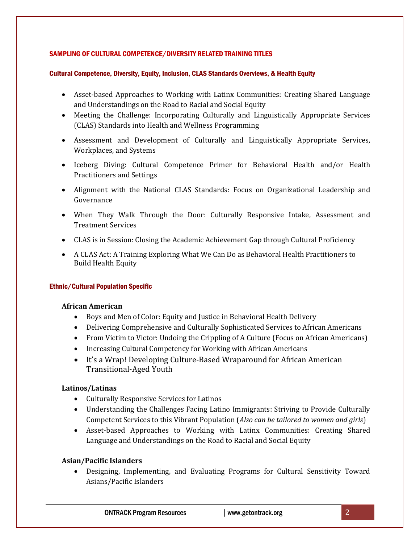#### SAMPLING OF CULTURAL COMPETENCE/DIVERSITY RELATED TRAINING TITLES

#### Cultural Competence, Diversity, Equity, Inclusion, CLAS Standards Overviews, & Health Equity

- Asset-based Approaches to Working with Latinx Communities: Creating Shared Language and Understandings on the Road to Racial and Social Equity
- Meeting the Challenge: Incorporating Culturally and Linguistically Appropriate Services (CLAS) Standards into Health and Wellness Programming
- Assessment and Development of Culturally and Linguistically Appropriate Services, Workplaces, and Systems
- Iceberg Diving: Cultural Competence Primer for Behavioral Health and/or Health Practitioners and Settings
- Alignment with the National CLAS Standards: Focus on Organizational Leadership and Governance
- When They Walk Through the Door: Culturally Responsive Intake, Assessment and Treatment Services
- CLAS is in Session: Closing the Academic Achievement Gap through Cultural Proficiency
- A CLAS Act: A Training Exploring What We Can Do as Behavioral Health Practitioners to Build Health Equity

#### Ethnic/Cultural Population Specific

#### **African American**

- Boys and Men of Color: Equity and Justice in Behavioral Health Delivery
- Delivering Comprehensive and Culturally Sophisticated Services to African Americans
- From Victim to Victor: Undoing the Crippling of A Culture (Focus on African Americans)
- Increasing Cultural Competency for Working with African Americans
- It's a Wrap! Developing Culture-Based Wraparound for African American Transitional-Aged Youth

#### **Latinos/Latinas**

- Culturally Responsive Services for Latinos
- Understanding the Challenges Facing Latino Immigrants: Striving to Provide Culturally Competent Services to this Vibrant Population (*Also can be tailored to women and girls*)
- Asset-based Approaches to Working with Latinx Communities: Creating Shared Language and Understandings on the Road to Racial and Social Equity

#### **Asian/Pacific Islanders**

• Designing, Implementing, and Evaluating Programs for Cultural Sensitivity Toward Asians/Pacific Islanders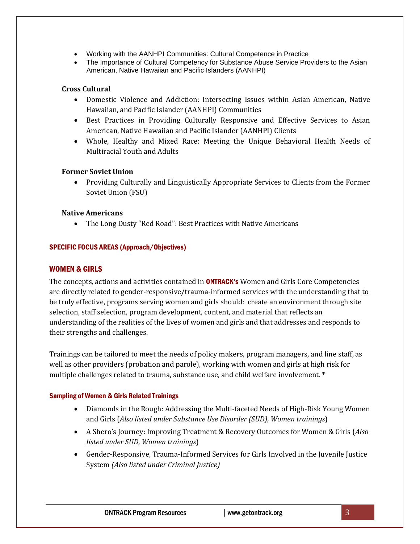- Working with the AANHPI Communities: Cultural Competence in Practice
- The Importance of Cultural Competency for Substance Abuse Service Providers to the Asian American, Native Hawaiian and Pacific Islanders (AANHPI)

#### **Cross Cultural**

- Domestic Violence and Addiction: Intersecting Issues within Asian American, Native Hawaiian, and Pacific Islander (AANHPI) Communities
- Best Practices in Providing Culturally Responsive and Effective Services to Asian American, Native Hawaiian and Pacific Islander (AANHPI) Clients
- Whole, Healthy and Mixed Race: Meeting the Unique Behavioral Health Needs of Multiracial Youth and Adults

#### **Former Soviet Union**

• Providing Culturally and Linguistically Appropriate Services to Clients from the Former Soviet Union (FSU)

#### **Native Americans**

• The Long Dusty "Red Road": Best Practices with Native Americans

#### SPECIFIC FOCUS AREAS (Approach/Objectives)

#### WOMEN & GIRLS

The concepts, actions and activities contained in **ONTRACK's** Women and Girls Core Competencies are directly related to gender-responsive/trauma-informed services with the understanding that to be truly effective, programs serving women and girls should: create an environment through site selection, staff selection, program development, content, and material that reflects an understanding of the realities of the lives of women and girls and that addresses and responds to their strengths and challenges.

Trainings can be tailored to meet the needs of policy makers, program managers, and line staff, as well as other providers (probation and parole), working with women and girls at high risk for multiple challenges related to trauma, substance use, and child welfare involvement. \*

#### Sampling of Women & Girls Related Trainings

- Diamonds in the Rough: Addressing the Multi-faceted Needs of High-Risk Young Women and Girls (*Also listed under Substance Use Disorder (SUD), Women trainings*)
- A Shero's Journey: Improving Treatment & Recovery Outcomes for Women & Girls (*Also listed under SUD, Women trainings*)
- Gender-Responsive, Trauma-Informed Services for Girls Involved in the Juvenile Justice System *(Also listed under Criminal Justice)*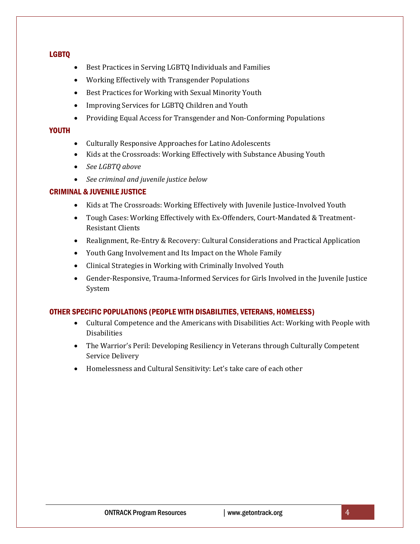#### LGBTQ

- Best Practices in Serving LGBTQ Individuals and Families
- Working Effectively with Transgender Populations
- Best Practices for Working with Sexual Minority Youth
- Improving Services for LGBTQ Children and Youth
- Providing Equal Access for Transgender and Non-Conforming Populations

#### YOUTH

- Culturally Responsive Approaches for Latino Adolescents
- Kids at the Crossroads: Working Effectively with Substance Abusing Youth
- *See LGBTQ above*
- *See criminal and juvenile justice below*

#### CRIMINAL & JUVENILE JUSTICE

- Kids at The Crossroads: Working Effectively with Juvenile Justice-Involved Youth
- Tough Cases: Working Effectively with Ex-Offenders, Court-Mandated & Treatment-Resistant Clients
- Realignment, Re-Entry & Recovery: Cultural Considerations and Practical Application
- Youth Gang Involvement and Its Impact on the Whole Family
- Clinical Strategies in Working with Criminally Involved Youth
- Gender-Responsive, Trauma-Informed Services for Girls Involved in the Juvenile Justice System

#### OTHER SPECIFIC POPULATIONS (PEOPLE WITH DISABILITIES, VETERANS, HOMELESS)

- Cultural Competence and the Americans with Disabilities Act: Working with People with Disabilities
- The Warrior's Peril: Developing Resiliency in Veterans through Culturally Competent Service Delivery
- Homelessness and Cultural Sensitivity: Let's take care of each other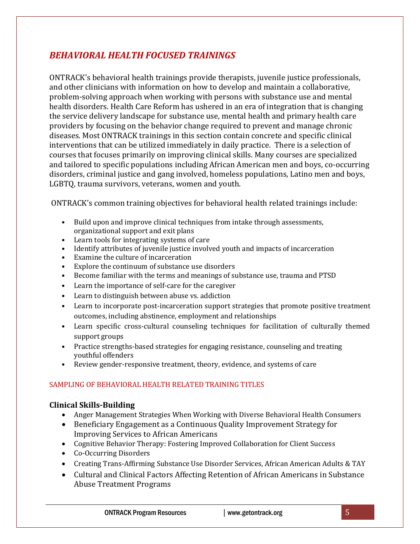## *BEHAVIORAL HEALTH FOCUSED TRAININGS*

ONTRACK's behavioral health trainings provide therapists, juvenile justice professionals, and other clinicians with information on how to develop and maintain a collaborative, problem-solving approach when working with persons with substance use and mental health disorders. Health Care Reform has ushered in an era of integration that is changing the service delivery landscape for substance use, mental health and primary health care providers by focusing on the behavior change required to prevent and manage chronic diseases. Most ONTRACK trainings in this section contain concrete and specific clinical interventions that can be utilized immediately in daily practice. There is a selection of courses that focuses primarily on improving clinical skills. Many courses are specialized and tailored to specific populations including African American men and boys, co-occurring disorders, criminal justice and gang involved, homeless populations, Latino men and boys, LGBTQ, trauma survivors, veterans, women and youth.

ONTRACK's common training objectives for behavioral health related trainings include:

- Build upon and improve clinical techniques from intake through assessments, organizational support and exit plans
- Learn tools for integrating systems of care
- Identify attributes of juvenile justice involved youth and impacts of incarceration
- Examine the culture of incarceration
- Explore the continuum of substance use disorders
- Become familiar with the terms and meanings of substance use, trauma and PTSD
- Learn the importance of self-care for the caregiver
- Learn to distinguish between abuse vs. addiction
- Learn to incorporate post-incarceration support strategies that promote positive treatment outcomes, including abstinence, employment and relationships
- Learn specific cross-cultural counseling techniques for facilitation of culturally themed support groups
- Practice strengths-based strategies for engaging resistance, counseling and treating youthful offenders
- Review gender-responsive treatment, theory, evidence, and systems of care

#### SAMPLING OF BEHAVIORAL HEALTH RELATED TRAINING TITLES

#### **Clinical Skills-Building**

- Anger Management Strategies When Working with Diverse Behavioral Health Consumers
- Beneficiary Engagement as a Continuous Quality Improvement Strategy for Improving Services to African Americans
- Cognitive Behavior Therapy: Fostering Improved Collaboration for Client Success
- Co-Occurring Disorders
- Creating Trans-Affirming Substance Use Disorder Services, African American Adults & TAY
- Cultural and Clinical Factors Affecting Retention of African Americans in Substance Abuse Treatment Programs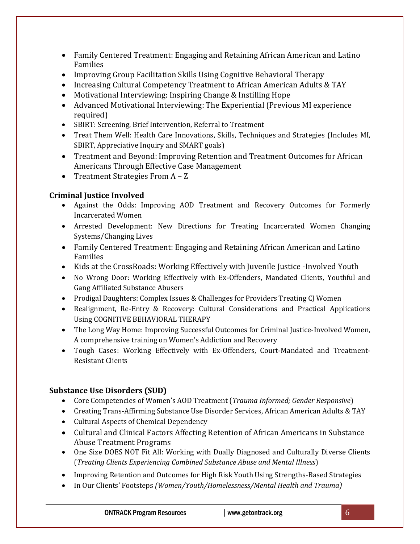- Family Centered Treatment: Engaging and Retaining African American and Latino Families
- Improving Group Facilitation Skills Using Cognitive Behavioral Therapy
- Increasing Cultural Competency Treatment to African American Adults & TAY
- Motivational Interviewing: Inspiring Change & Instilling Hope
- Advanced Motivational Interviewing: The Experiential (Previous MI experience required)
- SBIRT: Screening, Brief Intervention, Referral to Treatment
- Treat Them Well: Health Care Innovations, Skills, Techniques and Strategies (Includes MI, SBIRT, Appreciative Inquiry and SMART goals)
- Treatment and Beyond: Improving Retention and Treatment Outcomes for African Americans Through Effective Case Management
- Treatment Strategies From A Z

## **Criminal Justice Involved**

- Against the Odds: Improving AOD Treatment and Recovery Outcomes for Formerly Incarcerated Women
- Arrested Development: New Directions for Treating Incarcerated Women Changing Systems/Changing Lives
- Family Centered Treatment: Engaging and Retaining African American and Latino Families
- Kids at the CrossRoads: Working Effectively with Juvenile Justice -Involved Youth
- No Wrong Door: Working Effectively with Ex-Offenders, Mandated Clients, Youthful and Gang Affiliated Substance Abusers
- Prodigal Daughters: Complex Issues & Challenges for Providers Treating CJ Women
- Realignment, Re-Entry & Recovery: Cultural Considerations and Practical Applications Using COGNITIVE BEHAVIORAL THERAPY
- The Long Way Home: Improving Successful Outcomes for Criminal Justice-Involved Women, A comprehensive training on Women's Addiction and Recovery
- Tough Cases: Working Effectively with Ex-Offenders, Court-Mandated and Treatment-Resistant Clients

### **Substance Use Disorders (SUD)**

- Core Competencies of Women's AOD Treatment (*Trauma Informed; Gender Responsive*)
- Creating Trans-Affirming Substance Use Disorder Services, African American Adults & TAY
- Cultural Aspects of Chemical Dependency
- Cultural and Clinical Factors Affecting Retention of African Americans in Substance Abuse Treatment Programs
- One Size DOES NOT Fit All: Working with Dually Diagnosed and Culturally Diverse Clients (*Treating Clients Experiencing Combined Substance Abuse and Mental Illness*)
- Improving Retention and Outcomes for High Risk Youth Using Strengths-Based Strategies
- In Our Clients' Footsteps *(Women/Youth/Homelessness/Mental Health and Trauma)*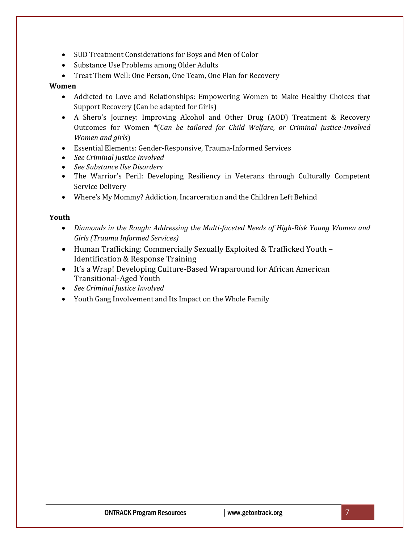- SUD Treatment Considerations for Boys and Men of Color
- Substance Use Problems among Older Adults
- Treat Them Well: One Person, One Team, One Plan for Recovery

#### **Women**

- Addicted to Love and Relationships: Empowering Women to Make Healthy Choices that Support Recovery (Can be adapted for Girls)
- A Shero's Journey: Improving Alcohol and Other Drug (AOD) Treatment & Recovery Outcomes for Women \*(*Can be tailored for Child Welfare, or Criminal Justice-Involved Women and girls*)
- Essential Elements: Gender-Responsive, Trauma-Informed Services
- *See Criminal Justice Involved*
- *See Substance Use Disorders*
- The Warrior's Peril: Developing Resiliency in Veterans through Culturally Competent Service Delivery
- Where's My Mommy? Addiction, Incarceration and the Children Left Behind

#### **Youth**

- *Diamonds in the Rough: Addressing the Multi-faceted Needs of High-Risk Young Women and Girls (Trauma Informed Services)*
- Human Trafficking: Commercially Sexually Exploited & Trafficked Youth Identification & Response Training
- It's a Wrap! Developing Culture-Based Wraparound for African American Transitional-Aged Youth
- *See Criminal Justice Involved*
- Youth Gang Involvement and Its Impact on the Whole Family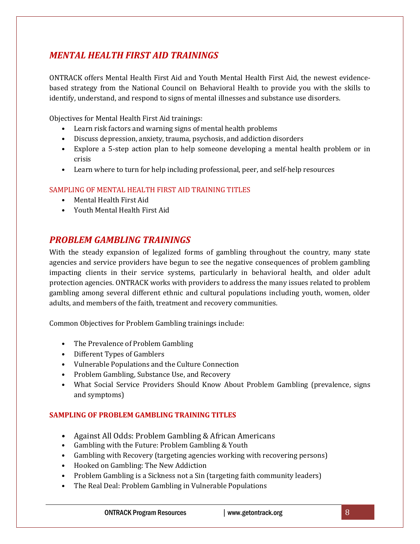## *MENTAL HEALTH FIRST AID TRAININGS*

ONTRACK offers Mental Health First Aid and Youth Mental Health First Aid, the newest evidencebased strategy from the National Council on Behavioral Health to provide you with the skills to identify, understand, and respond to signs of mental illnesses and substance use disorders.

Objectives for Mental Health First Aid trainings:

- Learn risk factors and warning signs of mental health problems
- Discuss depression, anxiety, trauma, psychosis, and addiction disorders
- Explore a 5-step action plan to help someone developing a mental health problem or in crisis
- Learn where to turn for help including professional, peer, and self-help resources

#### SAMPLING OF MENTAL HEALTH FIRST AID TRAINING TITLES

- Mental Health First Aid
- Youth Mental Health First Aid

## *PROBLEM GAMBLING TRAININGS*

With the steady expansion of legalized forms of gambling throughout the country, many state agencies and service providers have begun to see the negative consequences of problem gambling impacting clients in their service systems, particularly in behavioral health, and older adult protection agencies. ONTRACK works with providers to address the many issues related to problem gambling among several different ethnic and cultural populations including youth, women, older adults, and members of the faith, treatment and recovery communities.

Common Objectives for Problem Gambling trainings include:

- The Prevalence of Problem Gambling
- Different Types of Gamblers
- Vulnerable Populations and the Culture Connection
- Problem Gambling, Substance Use, and Recovery
- What Social Service Providers Should Know About Problem Gambling (prevalence, signs and symptoms)

#### **SAMPLING OF PROBLEM GAMBLING TRAINING TITLES**

- Against All Odds: Problem Gambling & African Americans
- Gambling with the Future: Problem Gambling & Youth
- Gambling with Recovery (targeting agencies working with recovering persons)
- Hooked on Gambling: The New Addiction
- Problem Gambling is a Sickness not a Sin (targeting faith community leaders)
- The Real Deal: Problem Gambling in Vulnerable Populations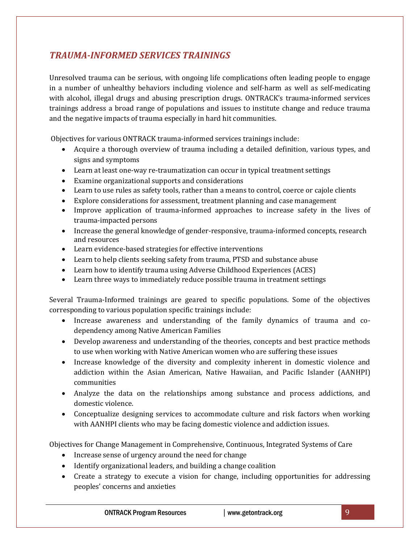## *TRAUMA-INFORMED SERVICES TRAININGS*

Unresolved trauma can be serious, with ongoing life complications often leading people to engage in a number of unhealthy behaviors including violence and self-harm as well as self-medicating with alcohol, illegal drugs and abusing prescription drugs. ONTRACK's trauma-informed services trainings address a broad range of populations and issues to institute change and reduce trauma and the negative impacts of trauma especially in hard hit communities.

Objectives for various ONTRACK trauma-informed services trainings include:

- Acquire a thorough overview of trauma including a detailed definition, various types, and signs and symptoms
- Learn at least one-way re-traumatization can occur in typical treatment settings
- Examine organizational supports and considerations
- Learn to use rules as safety tools, rather than a means to control, coerce or cajole clients
- Explore considerations for assessment, treatment planning and case management
- Improve application of trauma-informed approaches to increase safety in the lives of trauma-impacted persons
- Increase the general knowledge of gender-responsive, trauma-informed concepts, research and resources
- Learn evidence-based strategies for effective interventions
- Learn to help clients seeking safety from trauma, PTSD and substance abuse
- Learn how to identify trauma using Adverse Childhood Experiences (ACES)
- Learn three ways to immediately reduce possible trauma in treatment settings

Several Trauma-Informed trainings are geared to specific populations. Some of the objectives corresponding to various population specific trainings include:

- Increase awareness and understanding of the family dynamics of trauma and codependency among Native American Families
- Develop awareness and understanding of the theories, concepts and best practice methods to use when working with Native American women who are suffering these issues
- Increase knowledge of the diversity and complexity inherent in domestic violence and addiction within the Asian American, Native Hawaiian, and Pacific Islander (AANHPI) communities
- Analyze the data on the relationships among substance and process addictions, and domestic violence.
- Conceptualize designing services to accommodate culture and risk factors when working with AANHPI clients who may be facing domestic violence and addiction issues.

Objectives for Change Management in Comprehensive, Continuous, Integrated Systems of Care

- Increase sense of urgency around the need for change
- Identify organizational leaders, and building a change coalition
- Create a strategy to execute a vision for change, including opportunities for addressing peoples' concerns and anxieties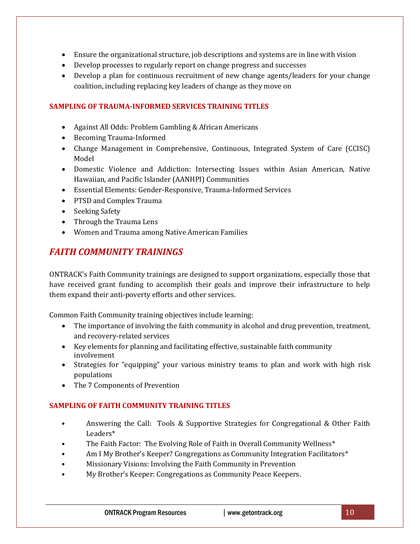- Ensure the organizational structure, job descriptions and systems are in line with vision
- Develop processes to regularly report on change progress and successes
- Develop a plan for continuous recruitment of new change agents/leaders for your change coalition, including replacing key leaders of change as they move on

#### **SAMPLING OF TRAUMA-INFORMED SERVICES TRAINING TITLES**

- Against All Odds: Problem Gambling & African Americans
- Becoming Trauma-Informed
- Change Management in Comprehensive, Continuous, Integrated System of Care (CCISC) Model
- Domestic Violence and Addiction: Intersecting Issues within Asian American, Native Hawaiian, and Pacific Islander (AANHPI) Communities
- Essential Elements: Gender-Responsive, Trauma-Informed Services
- PTSD and Complex Trauma
- Seeking Safety
- Through the Trauma Lens
- Women and Trauma among Native American Families

## *FAITH COMMUNITY TRAININGS*

ONTRACK's Faith Community trainings are designed to support organizations, especially those that have received grant funding to accomplish their goals and improve their infrastructure to help them expand their anti-poverty efforts and other services.

Common Faith Community training objectives include learning:

- The importance of involving the faith community in alcohol and drug prevention, treatment, and recovery-related services
- Key elements for planning and facilitating effective, sustainable faith community involvement
- Strategies for "equipping" your various ministry teams to plan and work with high risk populations
- The 7 Components of Prevention

#### **SAMPLING OF FAITH COMMUNITY TRAINING TITLES**

- Answering the Call: Tools & Supportive Strategies for Congregational & Other Faith Leaders\*
- The Faith Factor: The Evolving Role of Faith in Overall Community Wellness\*
- Am I My Brother's Keeper? Congregations as Community Integration Facilitators<sup>\*</sup>
- Missionary Visions: Involving the Faith Community in Prevention
- My Brother's Keeper: Congregations as Community Peace Keepers.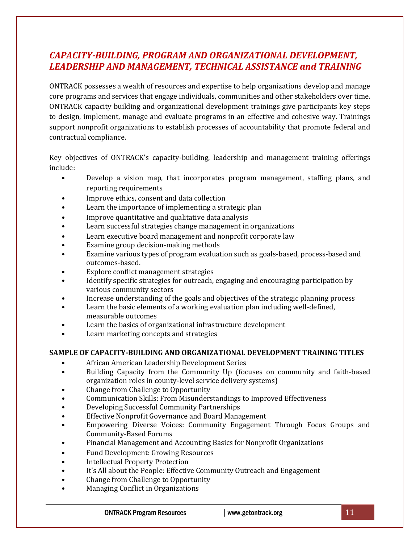## *CAPACITY-BUILDING, PROGRAM AND ORGANIZATIONAL DEVELOPMENT, LEADERSHIP AND MANAGEMENT, TECHNICAL ASSISTANCE and TRAINING*

ONTRACK possesses a wealth of resources and expertise to help organizations develop and manage core programs and services that engage individuals, communities and other stakeholders over time. ONTRACK capacity building and organizational development trainings give participants key steps to design, implement, manage and evaluate programs in an effective and cohesive way. Trainings support nonprofit organizations to establish processes of accountability that promote federal and contractual compliance.

Key objectives of ONTRACK's capacity-building, leadership and management training offerings include:

- Develop a vision map, that incorporates program management, staffing plans, and reporting requirements
- Improve ethics, consent and data collection
- Learn the importance of implementing a strategic plan
- Improve quantitative and qualitative data analysis
- Learn successful strategies change management in organizations
- Learn executive board management and nonprofit corporate law
- Examine group decision-making methods
- Examine various types of program evaluation such as goals-based, process-based and outcomes-based.
- Explore conflict management strategies
- Identify specific strategies for outreach, engaging and encouraging participation by various community sectors
- Increase understanding of the goals and objectives of the strategic planning process
- Learn the basic elements of a working evaluation plan including well-defined, measurable outcomes
- Learn the basics of organizational infrastructure development
- Learn marketing concepts and strategies

#### **SAMPLE OF CAPACITY-BUILDING AND ORGANIZATIONAL DEVELOPMENT TRAINING TITLES**

- African American Leadership Development Series
- Building Capacity from the Community Up (focuses on community and faith-based organization roles in county-level service delivery systems)
- Change from Challenge to Opportunity
- Communication Skills: From Misunderstandings to Improved Effectiveness
- Developing Successful Community Partnerships
- Effective Nonprofit Governance and Board Management
- Empowering Diverse Voices: Community Engagement Through Focus Groups and Community-Based Forums
- Financial Management and Accounting Basics for Nonprofit Organizations
- Fund Development: Growing Resources
- Intellectual Property Protection
- It's All about the People: Effective Community Outreach and Engagement
- Change from Challenge to Opportunity
- Managing Conflict in Organizations